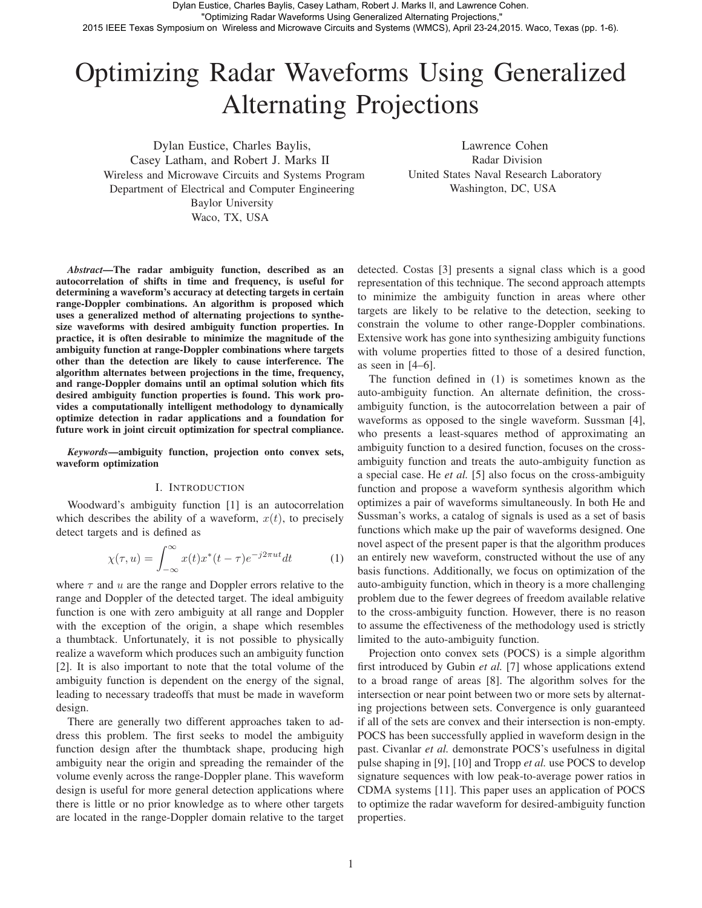# Optimizing Radar Waveforms Using Generalized Alternating Projections

Dylan Eustice, Charles Baylis, Casey Latham, and Robert J. Marks II Wireless and Microwave Circuits and Systems Program Department of Electrical and Computer Engineering Baylor University Waco, TX, USA

Lawrence Cohen Radar Division United States Naval Research Laboratory Washington, DC, USA

*Abstract*—The radar ambiguity function, described as an autocorrelation of shifts in time and frequency, is useful for determining a waveform's accuracy at detecting targets in certain range-Doppler combinations. An algorithm is proposed which uses a generalized method of alternating projections to synthesize waveforms with desired ambiguity function properties. In practice, it is often desirable to minimize the magnitude of the ambiguity function at range-Doppler combinations where targets other than the detection are likely to cause interference. The algorithm alternates between projections in the time, frequency, and range-Doppler domains until an optimal solution which fits desired ambiguity function properties is found. This work provides a computationally intelligent methodology to dynamically optimize detection in radar applications and a foundation for future work in joint circuit optimization for spectral compliance.

*Keywords*—ambiguity function, projection onto convex sets, waveform optimization

# I. INTRODUCTION

Woodward's ambiguity function [1] is an autocorrelation which describes the ability of a waveform,  $x(t)$ , to precisely detect targets and is defined as

$$
\chi(\tau, u) = \int_{-\infty}^{\infty} x(t)x^*(t - \tau)e^{-j2\pi ut}dt
$$
 (1)

where  $\tau$  and  $u$  are the range and Doppler errors relative to the range and Doppler of the detected target. The ideal ambiguity function is one with zero ambiguity at all range and Doppler with the exception of the origin, a shape which resembles a thumbtack. Unfortunately, it is not possible to physically realize a waveform which produces such an ambiguity function [2]. It is also important to note that the total volume of the ambiguity function is dependent on the energy of the signal, leading to necessary tradeoffs that must be made in waveform design.

There are generally two different approaches taken to address this problem. The first seeks to model the ambiguity function design after the thumbtack shape, producing high ambiguity near the origin and spreading the remainder of the volume evenly across the range-Doppler plane. This waveform design is useful for more general detection applications where there is little or no prior knowledge as to where other targets are located in the range-Doppler domain relative to the target detected. Costas [3] presents a signal class which is a good representation of this technique. The second approach attempts to minimize the ambiguity function in areas where other targets are likely to be relative to the detection, seeking to constrain the volume to other range-Doppler combinations. Extensive work has gone into synthesizing ambiguity functions with volume properties fitted to those of a desired function, as seen in [4–6].

The function defined in (1) is sometimes known as the auto-ambiguity function. An alternate definition, the crossambiguity function, is the autocorrelation between a pair of waveforms as opposed to the single waveform. Sussman [4], who presents a least-squares method of approximating an ambiguity function to a desired function, focuses on the crossambiguity function and treats the auto-ambiguity function as a special case. He *et al.* [5] also focus on the cross-ambiguity function and propose a waveform synthesis algorithm which optimizes a pair of waveforms simultaneously. In both He and Sussman's works, a catalog of signals is used as a set of basis functions which make up the pair of waveforms designed. One novel aspect of the present paper is that the algorithm produces an entirely new waveform, constructed without the use of any basis functions. Additionally, we focus on optimization of the auto-ambiguity function, which in theory is a more challenging problem due to the fewer degrees of freedom available relative to the cross-ambiguity function. However, there is no reason to assume the effectiveness of the methodology used is strictly limited to the auto-ambiguity function.

Projection onto convex sets (POCS) is a simple algorithm first introduced by Gubin *et al.* [7] whose applications extend to a broad range of areas [8]. The algorithm solves for the intersection or near point between two or more sets by alternating projections between sets. Convergence is only guaranteed if all of the sets are convex and their intersection is non-empty. POCS has been successfully applied in waveform design in the past. Civanlar *et al.* demonstrate POCS's usefulness in digital pulse shaping in [9], [10] and Tropp *et al.* use POCS to develop signature sequences with low peak-to-average power ratios in CDMA systems [11]. This paper uses an application of POCS to optimize the radar waveform for desired-ambiguity function properties.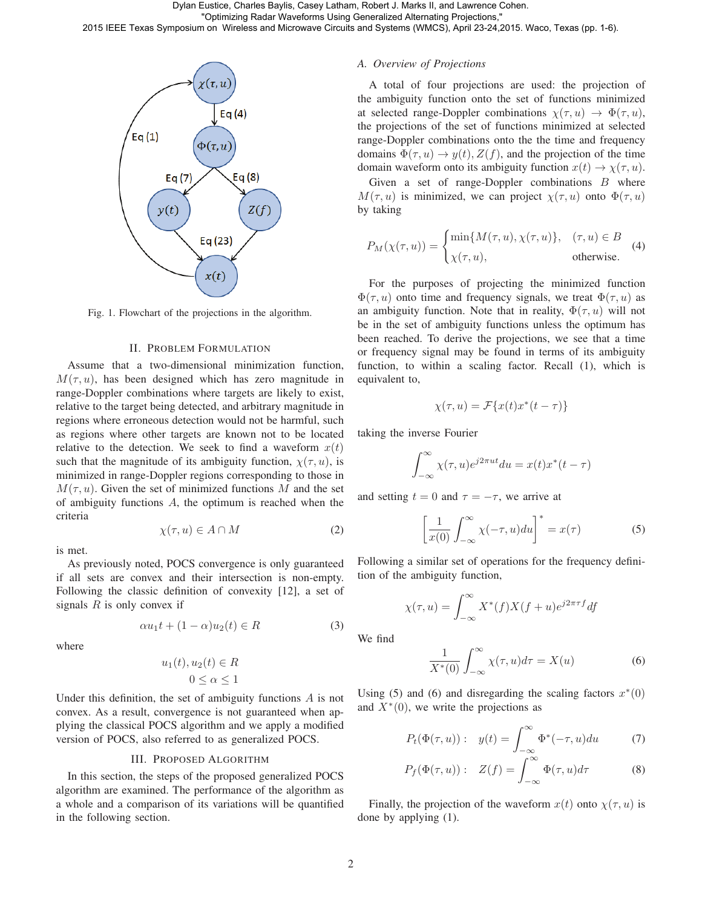

Fig. 1. Flowchart of the projections in the algorithm.

## II. PROBLEM FORMULATION

Assume that a two-dimensional minimization function,  $M(\tau, u)$ , has been designed which has zero magnitude in range-Doppler combinations where targets are likely to exist, relative to the target being detected, and arbitrary magnitude in regions where erroneous detection would not be harmful, such as regions where other targets are known not to be located relative to the detection. We seek to find a waveform  $x(t)$ such that the magnitude of its ambiguity function,  $\chi(\tau, u)$ , is minimized in range-Doppler regions corresponding to those in  $M(\tau, u)$ . Given the set of minimized functions M and the set of ambiguity functions A, the optimum is reached when the criteria

is met.

As previously noted, POCS convergence is only guaranteed if all sets are convex and their intersection is non-empty. Following the classic definition of convexity [12], a set of signals  $R$  is only convex if

$$
\alpha u_1 t + (1 - \alpha) u_2(t) \in R \tag{3}
$$

 $\chi(\tau, u) \in A \cap M$  (2)

where

$$
u_1(t), u_2(t) \in R
$$
  

$$
0 \le \alpha \le 1
$$

Under this definition, the set of ambiguity functions A is not convex. As a result, convergence is not guaranteed when applying the classical POCS algorithm and we apply a modified version of POCS, also referred to as generalized POCS.

# III. PROPOSED ALGORITHM

In this section, the steps of the proposed generalized POCS algorithm are examined. The performance of the algorithm as a whole and a comparison of its variations will be quantified in the following section.

# *A. Overview of Projections*

A total of four projections are used: the projection of the ambiguity function onto the set of functions minimized at selected range-Doppler combinations  $\chi(\tau, u) \to \Phi(\tau, u)$ , the projections of the set of functions minimized at selected range-Doppler combinations onto the the time and frequency domains  $\Phi(\tau, u) \to y(t), Z(f)$ , and the projection of the time domain waveform onto its ambiguity function  $x(t) \rightarrow \chi(\tau, u)$ .

Given a set of range-Doppler combinations  $B$  where  $M(\tau, u)$  is minimized, we can project  $\chi(\tau, u)$  onto  $\Phi(\tau, u)$ by taking

$$
P_M(\chi(\tau, u)) = \begin{cases} \min\{M(\tau, u), \chi(\tau, u)\}, & (\tau, u) \in B \\ \chi(\tau, u), & \text{otherwise.} \end{cases}
$$
 (4)

For the purposes of projecting the minimized function  $\Phi(\tau, u)$  onto time and frequency signals, we treat  $\Phi(\tau, u)$  as an ambiguity function. Note that in reality,  $\Phi(\tau, u)$  will not be in the set of ambiguity functions unless the optimum has been reached. To derive the projections, we see that a time or frequency signal may be found in terms of its ambiguity function, to within a scaling factor. Recall (1), which is equivalent to,

$$
\chi(\tau, u) = \mathcal{F}\{x(t)x^*(t-\tau)\}
$$

taking the inverse Fourier

$$
\int_{-\infty}^{\infty} \chi(\tau, u) e^{j2\pi ut} du = x(t)x^*(t - \tau)
$$

and setting  $t = 0$  and  $\tau = -\tau$ , we arrive at

$$
\left[\frac{1}{x(0)}\int_{-\infty}^{\infty} \chi(-\tau, u) du\right]^* = x(\tau)
$$
 (5)

Following a similar set of operations for the frequency definition of the ambiguity function,

$$
\chi(\tau, u) = \int_{-\infty}^{\infty} X^*(f)X(f+u)e^{j2\pi\tau f}df
$$

We find

$$
\frac{1}{X^*(0)} \int_{-\infty}^{\infty} \chi(\tau, u) d\tau = X(u)
$$
 (6)

Using (5) and (6) and disregarding the scaling factors  $x*(0)$ and  $X^*(0)$ , we write the projections as

$$
P_t(\Phi(\tau, u)) : y(t) = \int_{-\infty}^{\infty} \Phi^*(-\tau, u) du \tag{7}
$$

$$
P_f(\Phi(\tau, u)) : Z(f) = \int_{-\infty}^{\infty} \Phi(\tau, u) d\tau \tag{8}
$$

Finally, the projection of the waveform  $x(t)$  onto  $\chi(\tau, u)$  is done by applying (1).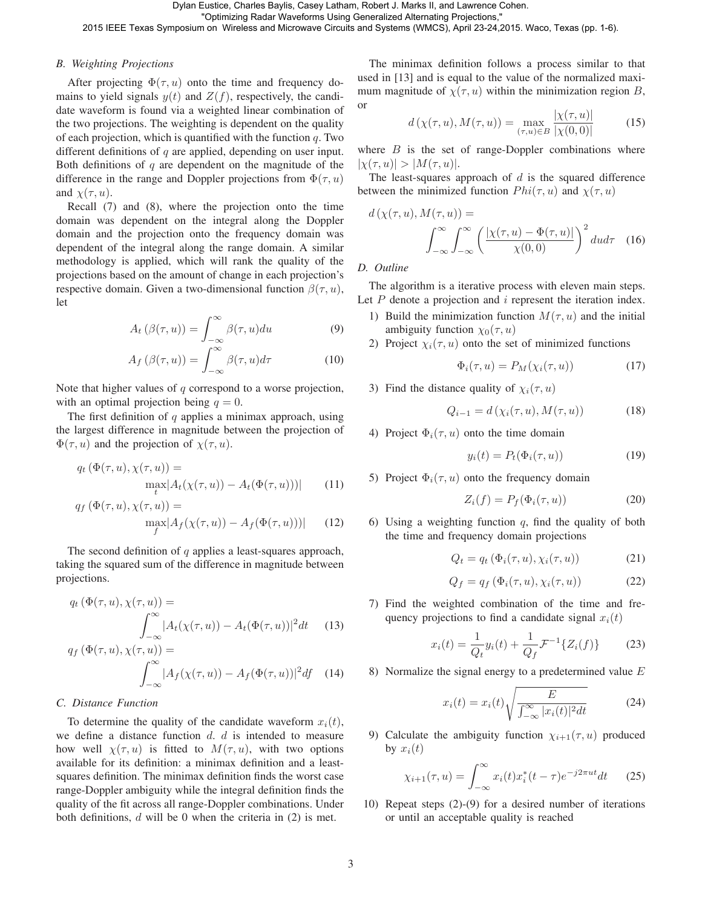Dylan Eustice, Charles Baylis, Casey Latham, Robert J. Marks II, and Lawrence Cohen.

"Optimizing Radar Waveforms Using Generalized Alternating Projections,"

2015 IEEE Texas Symposium on Wireless and Microwave Circuits and Systems (WMCS), April 23-24,2015. Waco, Texas (pp. 1-6).

# *B. Weighting Projections*

After projecting  $\Phi(\tau, u)$  onto the time and frequency domains to yield signals  $y(t)$  and  $Z(f)$ , respectively, the candidate waveform is found via a weighted linear combination of the two projections. The weighting is dependent on the quality of each projection, which is quantified with the function  $q$ . Two different definitions of  $q$  are applied, depending on user input. Both definitions of  $q$  are dependent on the magnitude of the difference in the range and Doppler projections from  $\Phi(\tau, u)$ and  $\chi(\tau, u)$ .

Recall (7) and (8), where the projection onto the time domain was dependent on the integral along the Doppler domain and the projection onto the frequency domain was dependent of the integral along the range domain. A similar methodology is applied, which will rank the quality of the projections based on the amount of change in each projection's respective domain. Given a two-dimensional function  $\beta(\tau, u)$ , let

$$
A_t(\beta(\tau, u)) = \int_{-\infty}^{\infty} \beta(\tau, u) du \tag{9}
$$

$$
A_f(\beta(\tau, u)) = \int_{-\infty}^{\infty} \beta(\tau, u) d\tau \tag{10}
$$

Note that higher values of  $q$  correspond to a worse projection, with an optimal projection being  $q = 0$ .

The first definition of  $q$  applies a minimax approach, using the largest difference in magnitude between the projection of  $\Phi(\tau, u)$  and the projection of  $\chi(\tau, u)$ .

$$
q_t\left(\Phi(\tau, u), \chi(\tau, u)\right) = \max_t |A_t(\chi(\tau, u)) - A_t(\Phi(\tau, u)))| \qquad (11)
$$

$$
q_f\left(\Phi(\tau, u), \chi(\tau, u)\right) = \max_{\substack{f \\ f}} |A_f(\chi(\tau, u)) - A_f(\Phi(\tau, u)))| \qquad (12)
$$

The second definition of  $q$  applies a least-squares approach, taking the squared sum of the difference in magnitude between projections.

$$
q_t\left(\Phi(\tau, u), \chi(\tau, u)\right) =
$$

$$
\int_{-\infty}^{\infty} |A_t(\chi(\tau, u)) - A_t(\Phi(\tau, u))|^2 dt \qquad (13)
$$

$$
q_f\left(\Phi(\tau, u), \chi(\tau, u)\right) = \int_{-\infty}^{\infty} |A_f(\chi(\tau, u)) - A_f(\Phi(\tau, u))|^2 df \quad (14)
$$

# *C. Distance Function*

To determine the quality of the candidate waveform  $x_i(t)$ , we define a distance function  $d$ .  $d$  is intended to measure how well  $\chi(\tau, u)$  is fitted to  $M(\tau, u)$ , with two options available for its definition: a minimax definition and a leastsquares definition. The minimax definition finds the worst case range-Doppler ambiguity while the integral definition finds the quality of the fit across all range-Doppler combinations. Under both definitions,  $d$  will be 0 when the criteria in  $(2)$  is met.

The minimax definition follows a process similar to that used in [13] and is equal to the value of the normalized maximum magnitude of  $\chi(\tau, u)$  within the minimization region B, or

$$
d(\chi(\tau, u), M(\tau, u)) = \max_{(\tau, u) \in B} \frac{|\chi(\tau, u)|}{|\chi(0, 0)|}
$$
(15)

where  $B$  is the set of range-Doppler combinations where  $|\chi(\tau, u)| > |M(\tau, u)|$ .

The least-squares approach of  $d$  is the squared difference between the minimized function  $Phi(\tau, u)$  and  $\chi(\tau, u)$ 

$$
d\left(\chi(\tau, u), M(\tau, u)\right) = \int_{-\infty}^{\infty} \int_{-\infty}^{\infty} \left(\frac{|\chi(\tau, u) - \Phi(\tau, u)|}{\chi(0, 0)}\right)^2 du d\tau \quad (16)
$$

*D. Outline*

The algorithm is a iterative process with eleven main steps. Let  $P$  denote a projection and  $i$  represent the iteration index.

- 1) Build the minimization function  $M(\tau, u)$  and the initial ambiguity function  $\chi_0(\tau, u)$
- 2) Project  $\chi_i(\tau, u)$  onto the set of minimized functions

$$
\Phi_i(\tau, u) = P_M(\chi_i(\tau, u)) \tag{17}
$$

3) Find the distance quality of  $\chi_i(\tau, u)$ 

$$
Q_{i-1} = d(\chi_i(\tau, u), M(\tau, u)) \tag{18}
$$

4) Project  $\Phi_i(\tau, u)$  onto the time domain

$$
y_i(t) = P_t(\Phi_i(\tau, u))
$$
 (19)

5) Project  $\Phi_i(\tau, u)$  onto the frequency domain

$$
Z_i(f) = P_f(\Phi_i(\tau, u))
$$
\n(20)

6) Using a weighting function  $q$ , find the quality of both the time and frequency domain projections

$$
Q_t = q_t \left( \Phi_i(\tau, u), \chi_i(\tau, u) \right) \tag{21}
$$

$$
Q_f = q_f\left(\Phi_i(\tau, u), \chi_i(\tau, u)\right) \tag{22}
$$

7) Find the weighted combination of the time and frequency projections to find a candidate signal  $x_i(t)$ 

$$
x_i(t) = \frac{1}{Q_t} y_i(t) + \frac{1}{Q_f} \mathcal{F}^{-1} \{ Z_i(f) \}
$$
 (23)

8) Normalize the signal energy to a predetermined value  $E$ 

$$
x_i(t) = x_i(t) \sqrt{\frac{E}{\int_{-\infty}^{\infty} |x_i(t)|^2 dt}} \tag{24}
$$

9) Calculate the ambiguity function  $\chi_{i+1}(\tau, u)$  produced by  $x_i(t)$ 

$$
\chi_{i+1}(\tau, u) = \int_{-\infty}^{\infty} x_i(t) x_i^*(t - \tau) e^{-j2\pi ut} dt \qquad (25)
$$

10) Repeat steps (2)-(9) for a desired number of iterations or until an acceptable quality is reached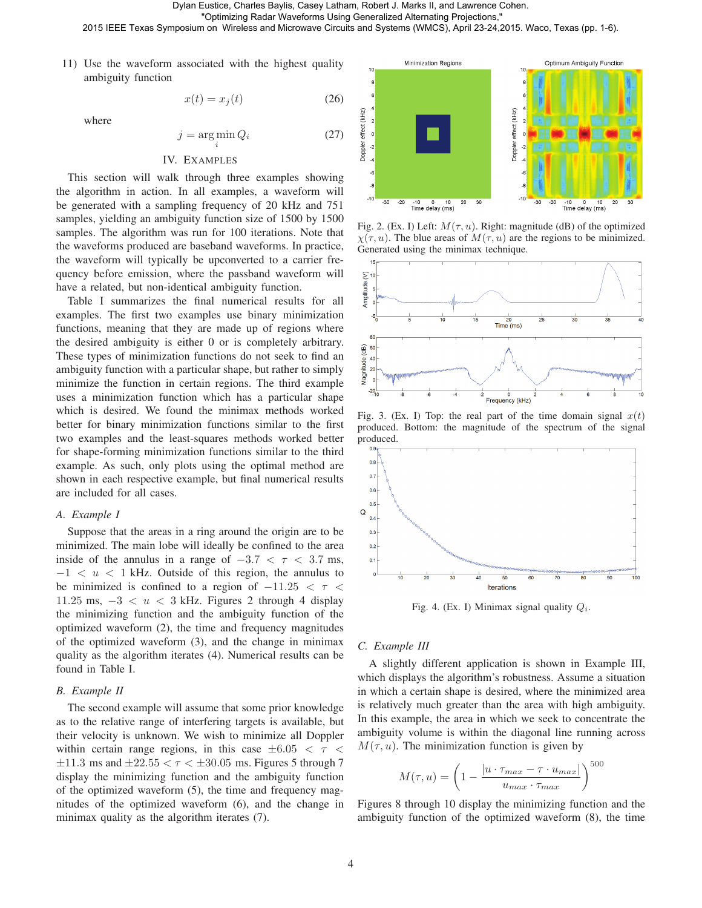Dylan Eustice, Charles Baylis, Casey Latham, Robert J. Marks II, and Lawrence Cohen.

 "Optimizing Radar Waveforms Using Generalized Alternating Projections," 2015 IEEE Texas Symposium on Wireless and Microwave Circuits and Systems (WMCS), April 23-24,2015. Waco, Texas (pp. 1-6).

11) Use the waveform associated with the highest quality ambiguity function

where

$$
j = \underset{i}{\arg\min} Q_i \tag{27}
$$

 $x(t) = x<sub>j</sub>(t)$  (26)

#### IV. EXAMPLES

This section will walk through three examples showing the algorithm in action. In all examples, a waveform will be generated with a sampling frequency of 20 kHz and 751 samples, yielding an ambiguity function size of 1500 by 1500 samples. The algorithm was run for 100 iterations. Note that the waveforms produced are baseband waveforms. In practice, the waveform will typically be upconverted to a carrier frequency before emission, where the passband waveform will have a related, but non-identical ambiguity function.

Table I summarizes the final numerical results for all examples. The first two examples use binary minimization functions, meaning that they are made up of regions where the desired ambiguity is either 0 or is completely arbitrary. These types of minimization functions do not seek to find an ambiguity function with a particular shape, but rather to simply minimize the function in certain regions. The third example uses a minimization function which has a particular shape which is desired. We found the minimax methods worked better for binary minimization functions similar to the first two examples and the least-squares methods worked better for shape-forming minimization functions similar to the third example. As such, only plots using the optimal method are shown in each respective example, but final numerical results are included for all cases.

#### *A. Example I*

Suppose that the areas in a ring around the origin are to be minimized. The main lobe will ideally be confined to the area inside of the annulus in a range of  $-3.7 < \tau < 3.7$  ms,  $-1 < u < 1$  kHz. Outside of this region, the annulus to be minimized is confined to a region of  $-11.25 < \tau <$ 11.25 ms,  $-3 < u < 3$  kHz. Figures 2 through 4 display the minimizing function and the ambiguity function of the optimized waveform (2), the time and frequency magnitudes of the optimized waveform (3), and the change in minimax quality as the algorithm iterates (4). Numerical results can be found in Table I.

#### *B. Example II*

The second example will assume that some prior knowledge as to the relative range of interfering targets is available, but their velocity is unknown. We wish to minimize all Doppler within certain range regions, in this case  $\pm 6.05 < \tau <$  $\pm 11.3$  ms and  $\pm 22.55 < \tau < \pm 30.05$  ms. Figures 5 through 7 display the minimizing function and the ambiguity function of the optimized waveform (5), the time and frequency magnitudes of the optimized waveform (6), and the change in minimax quality as the algorithm iterates (7).



Fig. 2. (Ex. I) Left:  $M(\tau, u)$ . Right: magnitude (dB) of the optimized  $\chi(\tau, u)$ . The blue areas of  $M(\tau, u)$  are the regions to be minimized. Generated using the minimax technique.



Fig. 3. (Ex. I) Top: the real part of the time domain signal  $x(t)$ produced. Bottom: the magnitude of the spectrum of the signal produced.



Fig. 4. (Ex. I) Minimax signal quality  $Q_i$ .

#### *C. Example III*

A slightly different application is shown in Example III, which displays the algorithm's robustness. Assume a situation in which a certain shape is desired, where the minimized area is relatively much greater than the area with high ambiguity. In this example, the area in which we seek to concentrate the ambiguity volume is within the diagonal line running across  $M(\tau, u)$ . The minimization function is given by

$$
M(\tau, u) = \left(1 - \frac{|u \cdot \tau_{max} - \tau \cdot u_{max}|}{u_{max} \cdot \tau_{max}}\right)^{500}
$$

Figures 8 through 10 display the minimizing function and the ambiguity function of the optimized waveform (8), the time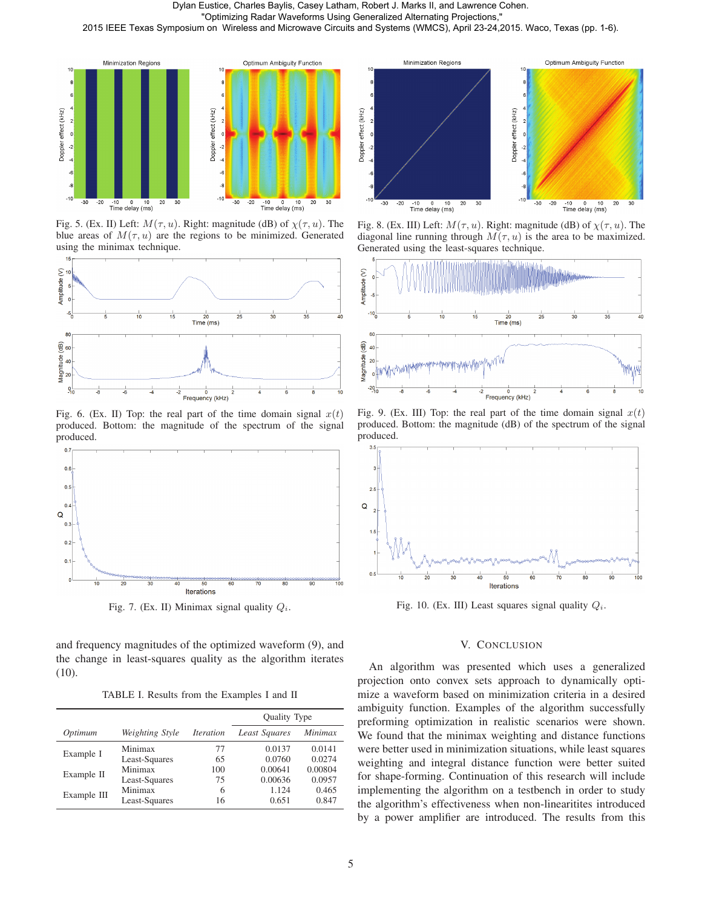

Fig. 5. (Ex. II) Left:  $M(\tau, u)$ . Right: magnitude (dB) of  $\chi(\tau, u)$ . The blue areas of  $M(\tau, u)$  are the regions to be minimized. Generated using the minimax technique.



Fig. 6. (Ex. II) Top: the real part of the time domain signal  $x(t)$ produced. Bottom: the magnitude of the spectrum of the signal produced.



Fig. 7. (Ex. II) Minimax signal quality  $Q_i$ .

and frequency magnitudes of the optimized waveform (9), and the change in least-squares quality as the algorithm iterates (10).

TABLE I. Results from the Examples I and II

|             |                 |                                | Quality Type  |         |
|-------------|-----------------|--------------------------------|---------------|---------|
| Optimum     | Weighting Style | <i><u><b>Iteration</b></u></i> | Least Squares | Minimax |
| Example I   | Minimax         | 77                             | 0.0137        | 0.0141  |
|             | Least-Squares   | 65                             | 0.0760        | 0.0274  |
| Example II  | Minimax         | 100                            | 0.00641       | 0.00804 |
|             | Least-Squares   | 75                             | 0.00636       | 0.0957  |
| Example III | Minimax         | 6                              | 1.124         | 0.465   |
|             | Least-Squares   | 16                             | 0.651         | 0.847   |



Fig. 8. (Ex. III) Left:  $M(\tau, u)$ . Right: magnitude (dB) of  $\chi(\tau, u)$ . The diagonal line running through  $M(\tau, u)$  is the area to be maximized. Generated using the least-squares technique.



Fig. 9. (Ex. III) Top: the real part of the time domain signal  $x(t)$ produced. Bottom: the magnitude (dB) of the spectrum of the signal produced.



Fig. 10. (Ex. III) Least squares signal quality  $Q_i$ .

### V. CONCLUSION

An algorithm was presented which uses a generalized projection onto convex sets approach to dynamically optimize a waveform based on minimization criteria in a desired ambiguity function. Examples of the algorithm successfully preforming optimization in realistic scenarios were shown. We found that the minimax weighting and distance functions were better used in minimization situations, while least squares weighting and integral distance function were better suited for shape-forming. Continuation of this research will include implementing the algorithm on a testbench in order to study the algorithm's effectiveness when non-linearitites introduced by a power amplifier are introduced. The results from this